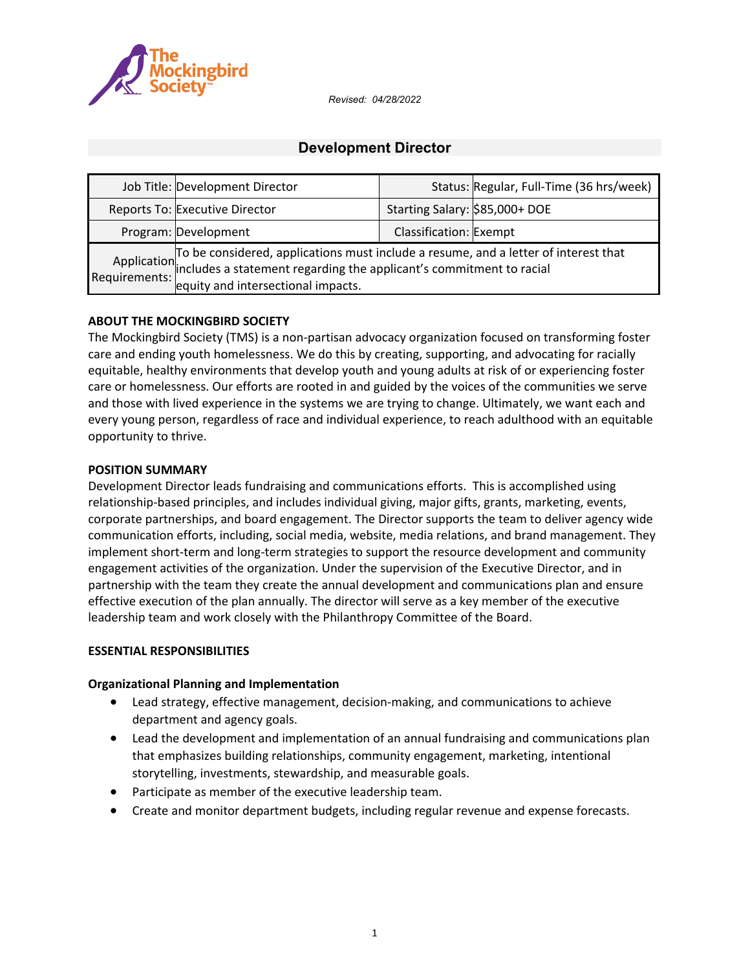

*Revised: 04/28/2022*

# **Development Director**

| Job Title: Development Director                                                                                                                                                                                   |                                | Status: Regular, Full-Time (36 hrs/week) |
|-------------------------------------------------------------------------------------------------------------------------------------------------------------------------------------------------------------------|--------------------------------|------------------------------------------|
| Reports To: Executive Director                                                                                                                                                                                    | Starting Salary: \$85,000+ DOE |                                          |
| Program: Development                                                                                                                                                                                              | Classification: Exempt         |                                          |
| Application To be considered, applications must include a resume, and a letter of interest that<br>Requirements: a statement regarding the applicant's commitment to racial<br>equity and intersectional impacts. |                                |                                          |

#### **ABOUT THE MOCKINGBIRD SOCIETY**

The Mockingbird Society (TMS) is a non-partisan advocacy organization focused on transforming foster care and ending youth homelessness. We do this by creating, supporting, and advocating for racially equitable, healthy environments that develop youth and young adults at risk of or experiencing foster care or homelessness. Our efforts are rooted in and guided by the voices of the communities we serve and those with lived experience in the systems we are trying to change. Ultimately, we want each and every young person, regardless of race and individual experience, to reach adulthood with an equitable opportunity to thrive.

#### **POSITION SUMMARY**

Development Director leads fundraising and communications efforts. This is accomplished using relationship-based principles, and includes individual giving, major gifts, grants, marketing, events, corporate partnerships, and board engagement. The Director supports the team to deliver agency wide communication efforts, including, social media, website, media relations, and brand management. They implement short-term and long-term strategies to support the resource development and community engagement activities of the organization. Under the supervision of the Executive Director, and in partnership with the team they create the annual development and communications plan and ensure effective execution of the plan annually. The director will serve as a key member of the executive leadership team and work closely with the Philanthropy Committee of the Board.

#### **ESSENTIAL RESPONSIBILITIES**

#### **Organizational Planning and Implementation**

- Lead strategy, effective management, decision-making, and communications to achieve department and agency goals.
- Lead the development and implementation of an annual fundraising and communications plan that emphasizes building relationships, community engagement, marketing, intentional storytelling, investments, stewardship, and measurable goals.
- Participate as member of the executive leadership team.
- Create and monitor department budgets, including regular revenue and expense forecasts.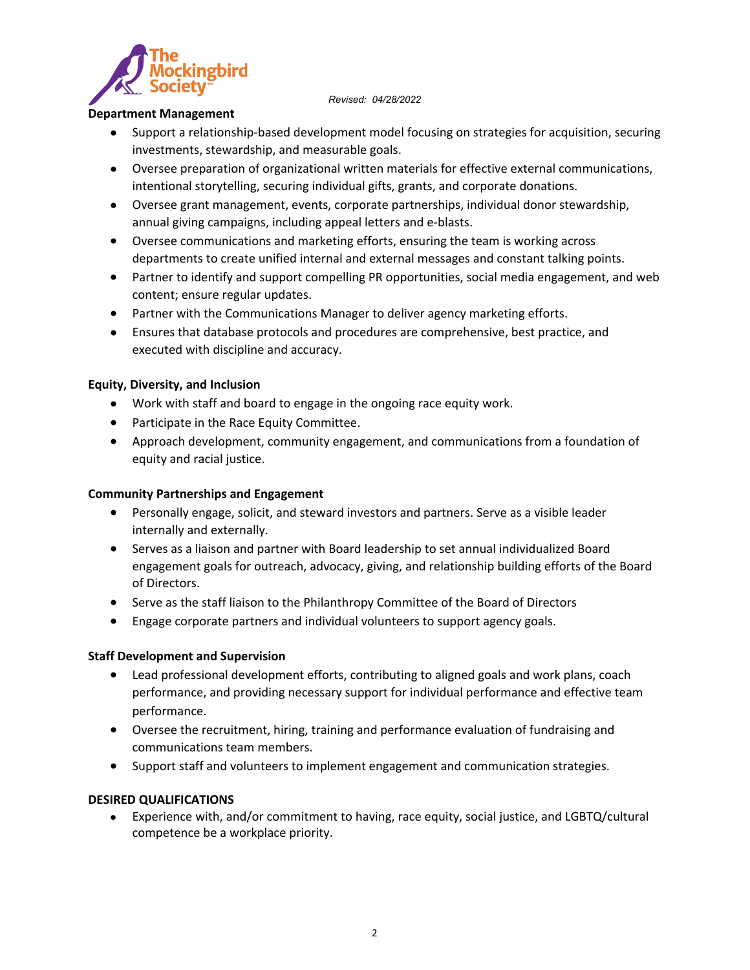*Revised: 04/28/2022*



#### **Department Management**

- Support a relationship-based development model focusing on strategies for acquisition, securing investments, stewardship, and measurable goals.
- Oversee preparation of organizational written materials for effective external communications, intentional storytelling, securing individual gifts, grants, and corporate donations.
- Oversee grant management, events, corporate partnerships, individual donor stewardship, annual giving campaigns, including appeal letters and e-blasts.
- Oversee communications and marketing efforts, ensuring the team is working across departments to create unified internal and external messages and constant talking points.
- Partner to identify and support compelling PR opportunities, social media engagement, and web content; ensure regular updates.
- Partner with the Communications Manager to deliver agency marketing efforts.
- Ensures that database protocols and procedures are comprehensive, best practice, and executed with discipline and accuracy.

## **Equity, Diversity, and Inclusion**

- Work with staff and board to engage in the ongoing race equity work.
- Participate in the Race Equity Committee.
- Approach development, community engagement, and communications from a foundation of equity and racial justice.

## **Community Partnerships and Engagement**

- Personally engage, solicit, and steward investors and partners. Serve as a visible leader internally and externally.
- Serves as a liaison and partner with Board leadership to set annual individualized Board engagement goals for outreach, advocacy, giving, and relationship building efforts of the Board of Directors.
- Serve as the staff liaison to the Philanthropy Committee of the Board of Directors
- Engage corporate partners and individual volunteers to support agency goals.

## **Staff Development and Supervision**

- Lead professional development efforts, contributing to aligned goals and work plans, coach performance, and providing necessary support for individual performance and effective team performance.
- Oversee the recruitment, hiring, training and performance evaluation of fundraising and communications team members.
- Support staff and volunteers to implement engagement and communication strategies.

## **DESIRED QUALIFICATIONS**

 Experience with, and/or commitment to having, race equity, social justice, and LGBTQ/cultural competence be a workplace priority.